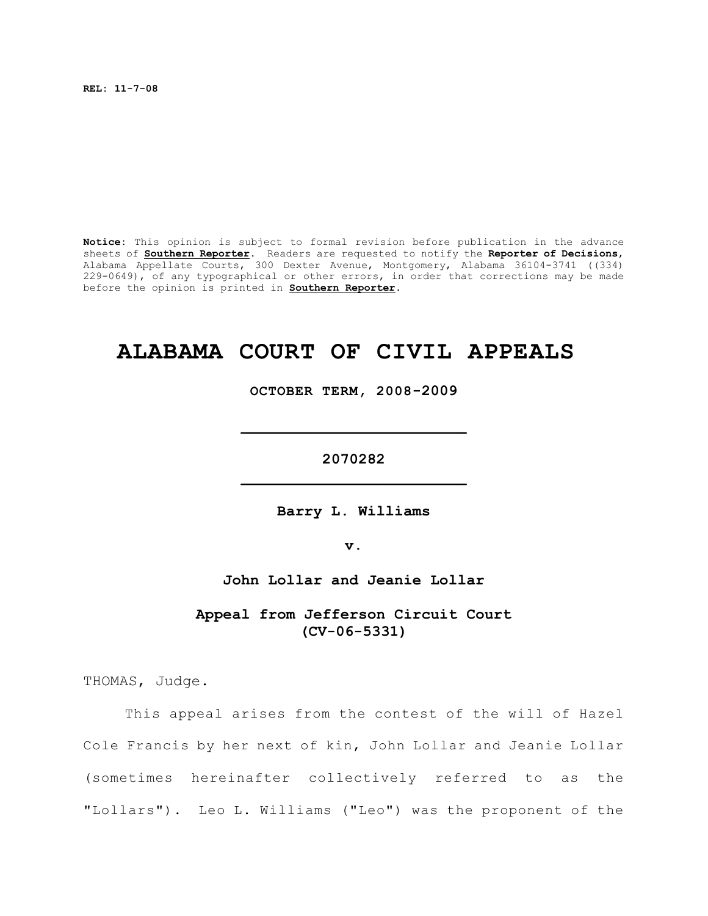**REL: 11-7-08**

**Notice:** This opinion is subject to formal revision before publication in the advance sheets of **Southern Reporter**. Readers are requested to notify the **Reporter of Decisions**, Alabama Appellate Courts, 300 Dexter Avenue, Montgomery, Alabama 36104-3741 ((334) 229-0649), of any typographical or other errors, in order that corrections may be made before the opinion is printed in **Southern Reporter**.

# **ALABAMA COURT OF CIVIL APPEALS**

**OCTOBER TERM, 2008-2009**

**\_\_\_\_\_\_\_\_\_\_\_\_\_\_\_\_\_\_\_\_\_\_\_\_\_**

**2070282 \_\_\_\_\_\_\_\_\_\_\_\_\_\_\_\_\_\_\_\_\_\_\_\_\_**

**Barry L. Williams**

**v.**

**John Lollar and Jeanie Lollar**

**Appeal from Jefferson Circuit Court (CV-06-5331)**

THOMAS, Judge.

This appeal arises from the contest of the will of Hazel Cole Francis by her next of kin, John Lollar and Jeanie Lollar (sometimes hereinafter collectively referred to as the "Lollars"). Leo L. Williams ("Leo") was the proponent of the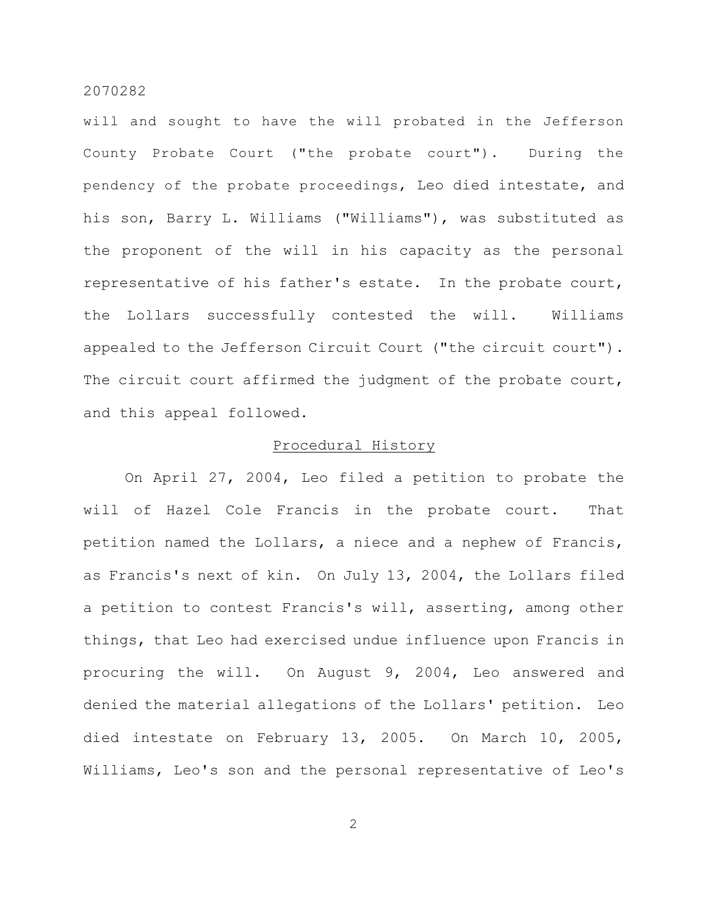will and sought to have the will probated in the Jefferson County Probate Court ("the probate court"). During the pendency of the probate proceedings, Leo died intestate, and his son, Barry L. Williams ("Williams"), was substituted as the proponent of the will in his capacity as the personal representative of his father's estate. In the probate court, the Lollars successfully contested the will. Williams appealed to the Jefferson Circuit Court ("the circuit court"). The circuit court affirmed the judgment of the probate court, and this appeal followed.

# Procedural History

On April 27, 2004, Leo filed a petition to probate the will of Hazel Cole Francis in the probate court. That petition named the Lollars, a niece and a nephew of Francis, as Francis's next of kin. On July 13, 2004, the Lollars filed a petition to contest Francis's will, asserting, among other things, that Leo had exercised undue influence upon Francis in procuring the will. On August 9, 2004, Leo answered and denied the material allegations of the Lollars' petition. Leo died intestate on February 13, 2005. On March 10, 2005, Williams, Leo's son and the personal representative of Leo's

2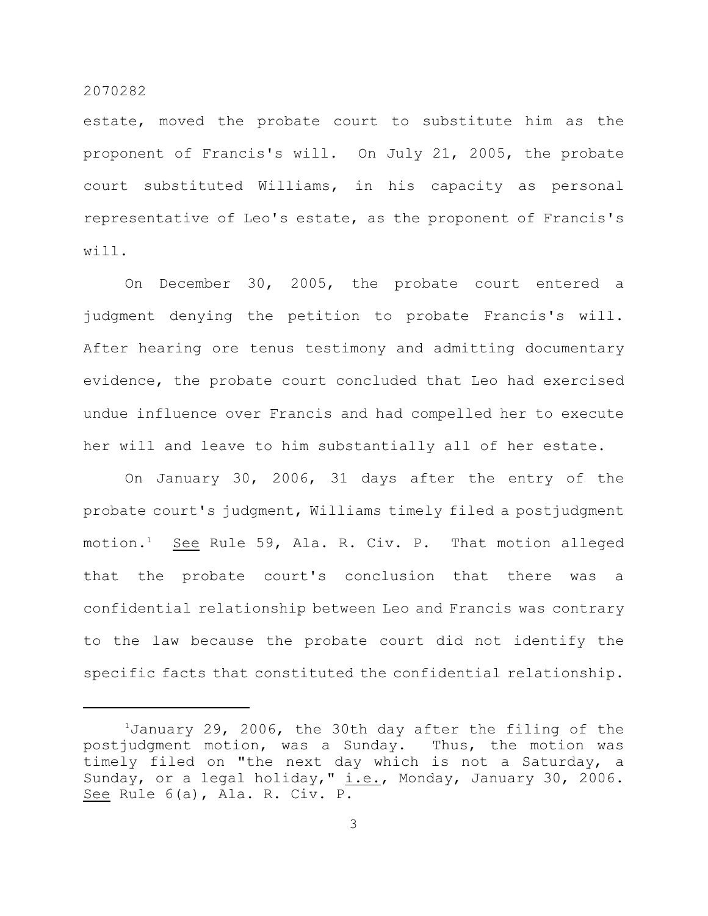estate, moved the probate court to substitute him as the proponent of Francis's will. On July 21, 2005, the probate court substituted Williams, in his capacity as personal representative of Leo's estate, as the proponent of Francis's will.

On December 30, 2005, the probate court entered a judgment denying the petition to probate Francis's will. After hearing ore tenus testimony and admitting documentary evidence, the probate court concluded that Leo had exercised undue influence over Francis and had compelled her to execute her will and leave to him substantially all of her estate.

On January 30, 2006, 31 days after the entry of the probate court's judgment, Williams timely filed a postjudgment motion.<sup>1</sup> See Rule 59, Ala. R. Civ. P. That motion alleged that the probate court's conclusion that there was a confidential relationship between Leo and Francis was contrary to the law because the probate court did not identify the specific facts that constituted the confidential relationship.

 $1$ January 29, 2006, the 30th day after the filing of the postjudgment motion, was a Sunday. Thus, the motion was timely filed on "the next day which is not a Saturday, a Sunday, or a legal holiday,"  $i.e.,$  Monday, January 30, 2006. See Rule 6(a), Ala. R. Civ. P.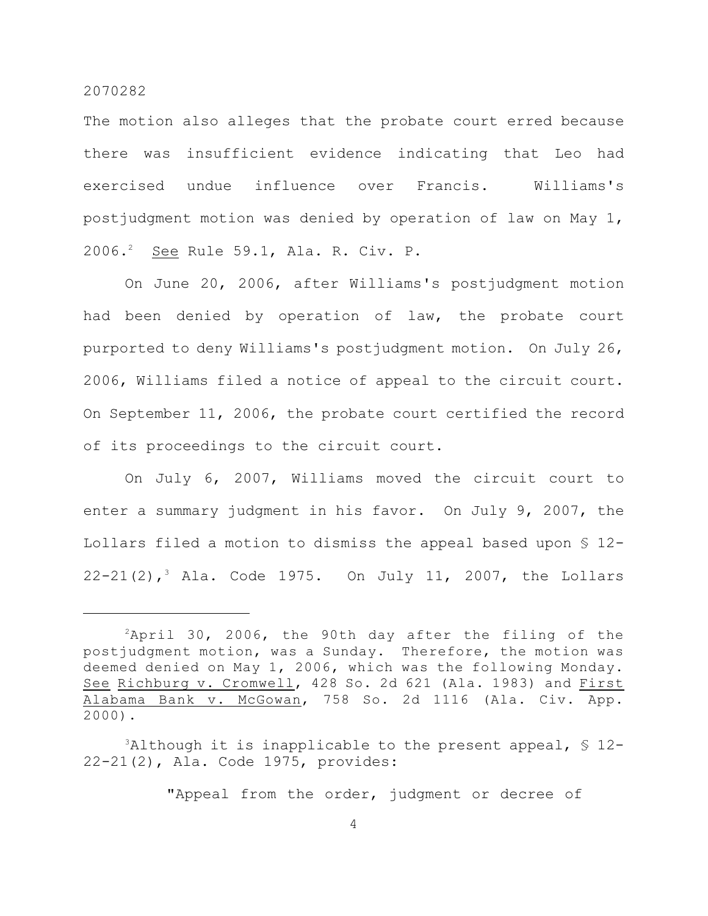The motion also alleges that the probate court erred because there was insufficient evidence indicating that Leo had exercised undue influence over Francis. Williams's postjudgment motion was denied by operation of law on May 1, 2006.<sup>2</sup> See Rule 59.1, Ala. R. Civ. P.

On June 20, 2006, after Williams's postjudgment motion had been denied by operation of law, the probate court purported to deny Williams's postjudgment motion. On July 26, 2006, Williams filed a notice of appeal to the circuit court. On September 11, 2006, the probate court certified the record of its proceedings to the circuit court.

On July 6, 2007, Williams moved the circuit court to enter a summary judgment in his favor. On July 9, 2007, the Lollars filed a motion to dismiss the appeal based upon § 12- 22-21(2),<sup>3</sup> Ala. Code 1975. On July 11, 2007, the Lollars

"Appeal from the order, judgment or decree of

 $2$ April 30, 2006, the 90th day after the filing of the postjudgment motion, was a Sunday. Therefore, the motion was deemed denied on May 1, 2006, which was the following Monday. See Richburg v. Cromwell, 428 So. 2d 621 (Ala. 1983) and First Alabama Bank v. McGowan, 758 So. 2d 1116 (Ala. Civ. App. 2000).

 $3$ Although it is inapplicable to the present appeal,  $\frac{1}{2}$  12-22-21(2), Ala. Code 1975, provides: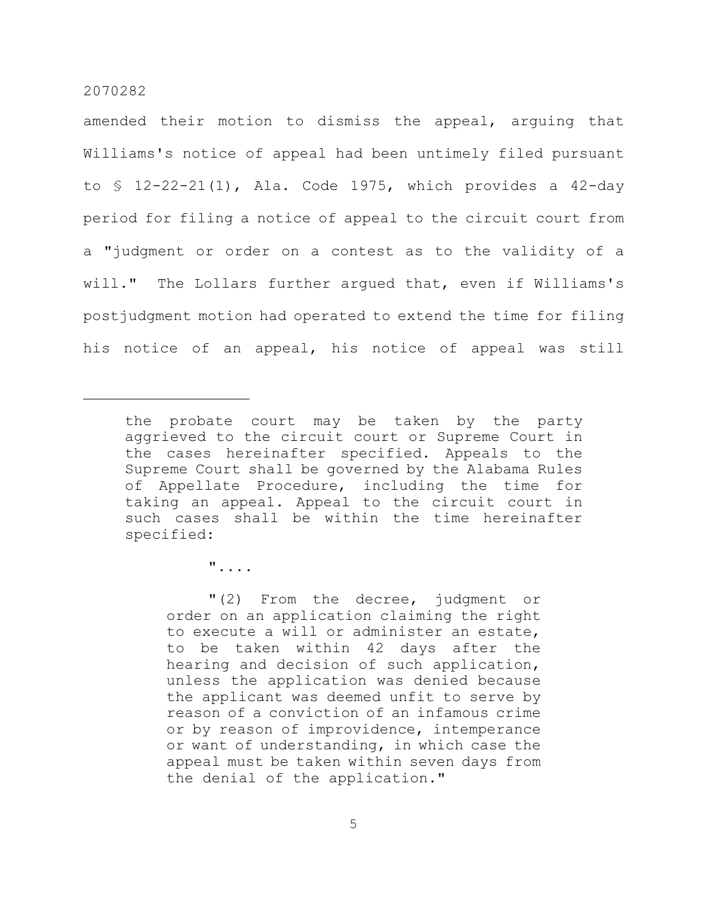amended their motion to dismiss the appeal, arguing that Williams's notice of appeal had been untimely filed pursuant to § 12-22-21(1), Ala. Code 1975, which provides a 42-day period for filing a notice of appeal to the circuit court from a "judgment or order on a contest as to the validity of a will." The Lollars further argued that, even if Williams's postjudgment motion had operated to extend the time for filing his notice of an appeal, his notice of appeal was still

"....

"(2) From the decree, judgment or order on an application claiming the right to execute a will or administer an estate, to be taken within 42 days after the hearing and decision of such application, unless the application was denied because the applicant was deemed unfit to serve by reason of a conviction of an infamous crime or by reason of improvidence, intemperance or want of understanding, in which case the appeal must be taken within seven days from the denial of the application."

the probate court may be taken by the party aggrieved to the circuit court or Supreme Court in the cases hereinafter specified. Appeals to the Supreme Court shall be governed by the Alabama Rules of Appellate Procedure, including the time for taking an appeal. Appeal to the circuit court in such cases shall be within the time hereinafter specified: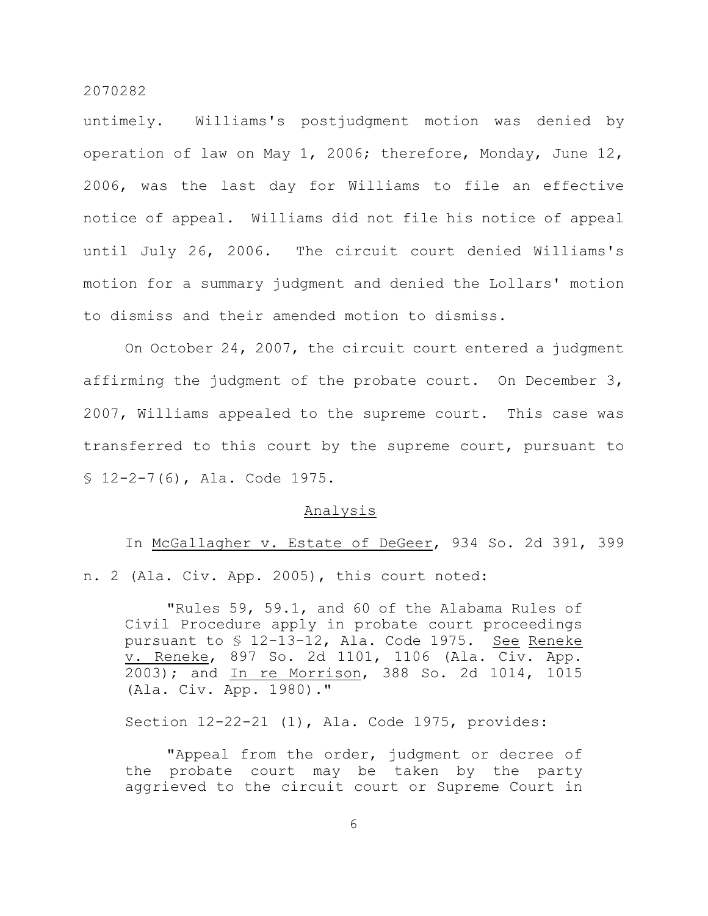untimely. Williams's postjudgment motion was denied by operation of law on May 1, 2006; therefore, Monday, June 12, 2006, was the last day for Williams to file an effective notice of appeal. Williams did not file his notice of appeal until July 26, 2006. The circuit court denied Williams's motion for a summary judgment and denied the Lollars' motion to dismiss and their amended motion to dismiss.

On October 24, 2007, the circuit court entered a judgment affirming the judgment of the probate court. On December 3, 2007, Williams appealed to the supreme court. This case was transferred to this court by the supreme court, pursuant to § 12-2-7(6), Ala. Code 1975.

### Analysis

In McGallagher v. Estate of DeGeer, 934 So. 2d 391, 399 n. 2 (Ala. Civ. App. 2005), this court noted:

"Rules 59, 59.1, and 60 of the Alabama Rules of Civil Procedure apply in probate court proceedings pursuant to § 12-13-12, Ala. Code 1975. See Reneke v. Reneke, 897 So. 2d 1101, 1106 (Ala. Civ. App. 2003); and In re Morrison, 388 So. 2d 1014, 1015 (Ala. Civ. App. 1980)."

Section 12-22-21 (1), Ala. Code 1975, provides:

"Appeal from the order, judgment or decree of the probate court may be taken by the party aggrieved to the circuit court or Supreme Court in

6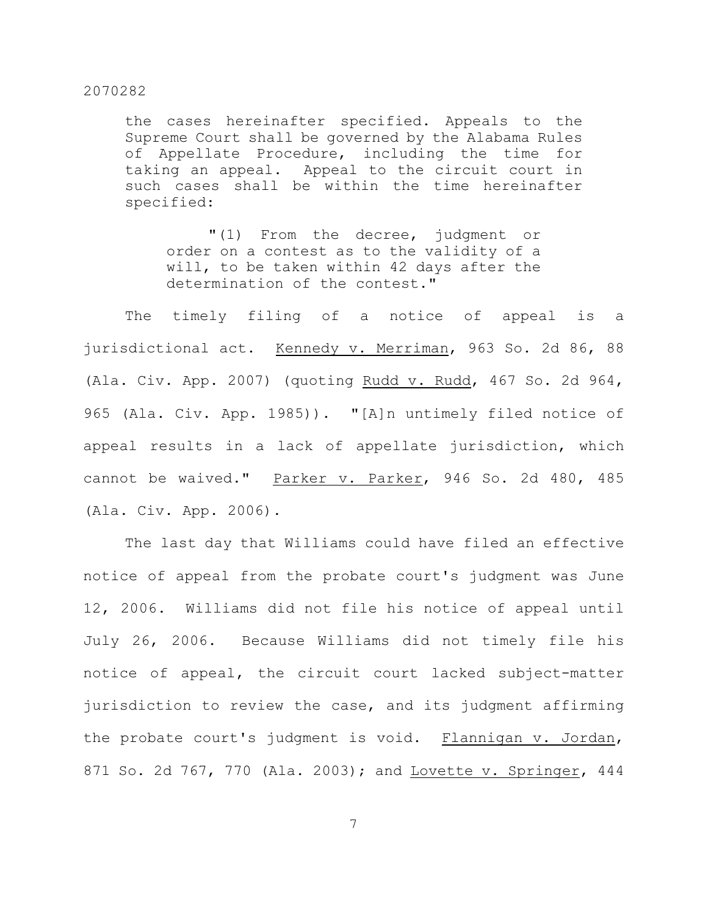the cases hereinafter specified. Appeals to the Supreme Court shall be governed by the Alabama Rules of Appellate Procedure, including the time for taking an appeal. Appeal to the circuit court in such cases shall be within the time hereinafter specified:

"(1) From the decree, judgment or order on a contest as to the validity of a will, to be taken within 42 days after the determination of the contest."

The timely filing of a notice of appeal is a jurisdictional act. Kennedy v. Merriman, 963 So. 2d 86, 88 (Ala. Civ. App. 2007) (quoting Rudd v. Rudd, 467 So. 2d 964, 965 (Ala. Civ. App. 1985)). "[A]n untimely filed notice of appeal results in a lack of appellate jurisdiction, which cannot be waived." Parker v. Parker, 946 So. 2d 480, 485 (Ala. Civ. App. 2006).

The last day that Williams could have filed an effective notice of appeal from the probate court's judgment was June 12, 2006. Williams did not file his notice of appeal until July 26, 2006. Because Williams did not timely file his notice of appeal, the circuit court lacked subject-matter jurisdiction to review the case, and its judgment affirming the probate court's judgment is void. Flannigan v. Jordan, 871 So. 2d 767, 770 (Ala. 2003); and Lovette v. Springer, 444

7